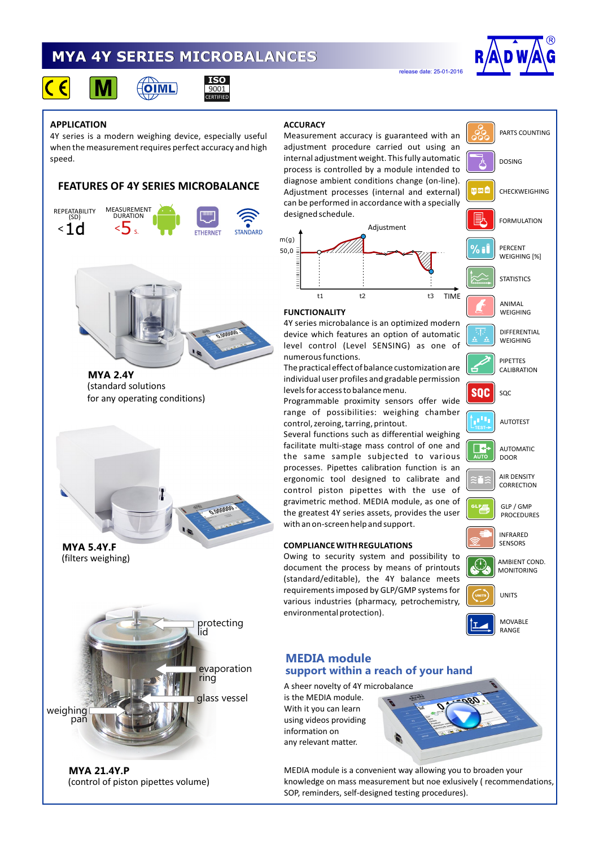# **MYA 4Y SERIES MICROBALANCES**

**ISO** 9001 CERTIFIED



 $\epsilon$ 





### **APPLICATION**

4Y series is a modern weighing device, especially useful when the measurement requires perfect accuracy and high speed.

## **FEATURES OF 4Y SERIES MICROBALANCE**



PARTS COUNTING Measurement accuracy is guaranteed with an adjustment procedure carried out using an internal adjustment weight. This fully automatic DOSING process is controlled by a module intended to diagnose ambient conditions change (on-line). Adjustment processes (internal and external) 西欧血 CHECKWEIGHING can be performed in accordance with a specially designed schedule. FORMULATION Adjustment TIME t1 t2 t3 TIME **FUNCTIONALITY** 4Y series microbalance is an optimized modern device which features an option of automatic level control (Level SENSING) as one of numerous functions.

release date: 25-01-2016

The practical effect of balance customization are individual user profiles and gradable permission levels for access to balance menu.

Programmable proximity sensors offer wide range of possibilities: weighing chamber control, zeroing, tarring, printout.

Several functions such as differential weighing facilitate multi-stage mass control of one and the same sample subjected to various processes. Pipettes calibration function is an ergonomic tool designed to calibrate and control piston pipettes with the use of gravimetric method. MEDIA module, as one of the greatest 4Y series assets, provides the user with an on-screen help and support.

#### **COMPLIANCE WITH REGULATIONS**

Owing to security system and possibility to document the process by means of printouts (standard/editable), the 4Y balance meets requirements imposed by GLP/GMP systems for various industries (pharmacy, petrochemistry, environmental protection).





(filters weighing) **MYA 5.4Y.F**

(control of piston pipettes volume) **MYA 21.4Y.P**

# **MEDIA module support within a reach of your hand**

A sheer novelty of 4Y microbalance is the MEDIA module. With it you can learn using videos providing information on any relevant matter.

MEDIA module is a convenient way allowing you to broaden your knowledge on mass measurement but noe exlusively ( recommendations, SOP, reminders, self-designed testing procedures).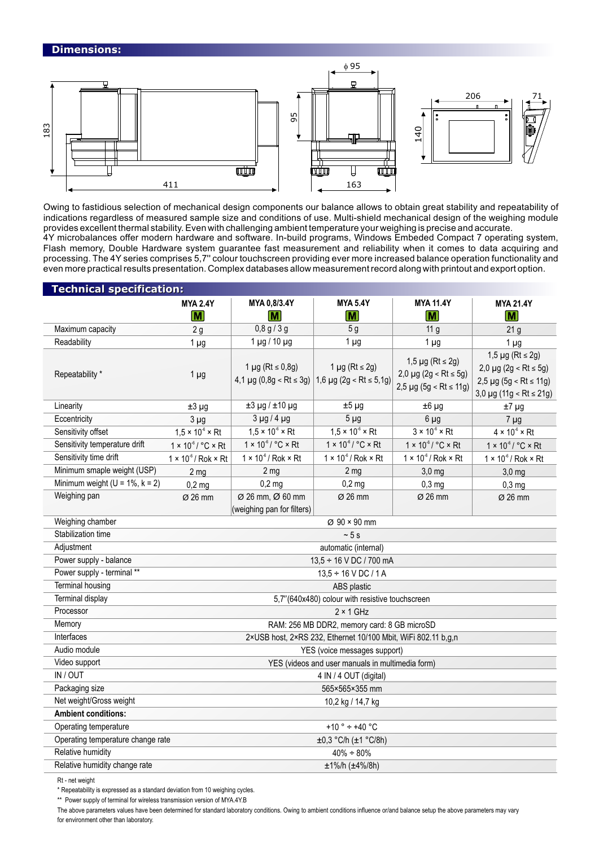

Owing to fastidious selection of mechanical design components our balance allows to obtain great stability and repeatability of indications regardless of measured sample size and conditions of use. Multi-shield mechanical design of the weighing module provides excellent thermal stability. Even with challenging ambient temperature your weighing is precise and accurate. 4Y microbalances offer modern hardware and software. In-build programs, Windows Embeded Compact 7 operating system, Flash memory, Double Hardware system guarantee fast measurement and reliability when it comes to data acquiring and processing. The 4Y series comprises 5,7'' colour touchscreen providing ever more increased balance operation functionality and even more practical results presentation. Complex databases allow measurement record along with printout and export option.

| <b>Technical specification:</b>        |                                                               |                                             |                                                                                |                                                                                 |                                                                                                                          |  |
|----------------------------------------|---------------------------------------------------------------|---------------------------------------------|--------------------------------------------------------------------------------|---------------------------------------------------------------------------------|--------------------------------------------------------------------------------------------------------------------------|--|
|                                        | <b>MYA 2.4Y</b><br>M                                          | MYA 0,8/3.4Y<br>$\overline{\mathsf{M}}$     | <b>MYA 5.4Y</b><br>$\overline{\mathsf{M}}$                                     | <b>MYA 11.4Y</b><br>M                                                           | <b>MYA 21.4Y</b><br>$ \overline{\mathsf{M}} $                                                                            |  |
| Maximum capacity                       | 2g                                                            | 0,8 g/3 g                                   | 5g                                                                             | 11 <sub>g</sub>                                                                 | 21 <sub>g</sub>                                                                                                          |  |
| Readability                            | $1 \mu g$                                                     | $1 \mu g / 10 \mu g$                        | $1 \mu g$                                                                      | $1 \mu g$                                                                       | 1 <sub>µg</sub>                                                                                                          |  |
| Repeatability *                        | $1 \mu g$                                                     | 1 µg ( $Rt ≤ 0,8g$ )                        | $1 \mu g$ (Rt $\leq 2g$ )<br>4,1 µg (0,8g < Rt ≤ 3g)   1,6 µg (2g < Rt ≤ 5,1g) | $1,5 \mu$ g (Rt ≤ 2g)<br>2,0 µg (2g < Rt ≤ 5g)<br>$2,5 \mu g (5g < Rt \le 11g)$ | $1,5 \mu$ g (Rt ≤ 2g)<br>$2,0 \mu g (2g < Rt \leq 5g)$<br>2,5 $\mu$ g (5g < Rt ≤ 11g)<br>$3,0 \mu g (11g < Rt \leq 21g)$ |  |
| Linearity                              | $±3 \mu g$                                                    | $±3 \mu g / ±10 \mu g$                      | $±5 \mu g$                                                                     | $±6 \mu g$                                                                      | $±7 \mu g$                                                                                                               |  |
| Eccentricity                           | $3 \mu g$                                                     | $3 \mu g / 4 \mu g$                         | $5 \mu g$                                                                      | $6 \mu g$                                                                       | $7 \mu g$                                                                                                                |  |
| Sensitivity offset                     | $1.5 \times 10^{-6} \times Rt$                                | $1.5 \times 10^{6} \times Rt$               | $1,5 \times 10^{6} \times Rt$                                                  | $3 \times 10^{-6} \times Rt$                                                    | $4 \times 10^{-6} \times Rt$                                                                                             |  |
| Sensitivity temperature drift          | $1 \times 10^{-6} / °C \times Rt$                             | $1 \times 10^{-6}$ / °C $\times$ Rt         | $1 \times 10^{-6} / °C \times Rt$                                              | $1 \times 10^{-6}$ / °C $\times$ Rt                                             | $1 \times 10^{-6}$ / °C $\times$ Rt                                                                                      |  |
| Sensitivity time drift                 | $1 \times 10^{-6}$ / Rok $\times$ Rt                          | $1 \times 10^{-6}$ / Rok $\times$ Rt        | $1 \times 10^{-6}$ / Rok $\times$ Rt                                           | $1 \times 10^{-6}$ / Rok $\times$ Rt                                            | $1 \times 10^{-6}$ / Rok $\times$ Rt                                                                                     |  |
| Minimum smaple weight (USP)            | 2 <sub>mg</sub>                                               | 2 <sub>mg</sub>                             | 2 <sub>mg</sub>                                                                | $3,0$ mg                                                                        | $3,0$ mg                                                                                                                 |  |
| Minimum weight ( $U = 1\%$ , $k = 2$ ) | $0,2$ mg                                                      | $0,2$ mg                                    | $0,2$ mg                                                                       | $0,3$ mg                                                                        | $0,3$ mg                                                                                                                 |  |
| Weighing pan                           | Ø 26 mm                                                       | Ø 26 mm, Ø 60 mm                            | $\varnothing$ 26 mm                                                            | $\varnothing$ 26 mm                                                             | $\varnothing$ 26 mm                                                                                                      |  |
|                                        |                                                               | (weighing pan for filters)                  |                                                                                |                                                                                 |                                                                                                                          |  |
| Weighing chamber                       | $\varnothing$ 90 × 90 mm                                      |                                             |                                                                                |                                                                                 |                                                                                                                          |  |
| Stabilization time                     | ~5s                                                           |                                             |                                                                                |                                                                                 |                                                                                                                          |  |
| Adjustment                             |                                                               | automatic (internal)                        |                                                                                |                                                                                 |                                                                                                                          |  |
| Power supply - balance                 | 13,5 ÷ 16 V DC / 700 mA                                       |                                             |                                                                                |                                                                                 |                                                                                                                          |  |
| Power supply - terminal **             | $13,5 \div 16$ V DC / 1 A                                     |                                             |                                                                                |                                                                                 |                                                                                                                          |  |
| <b>Terminal housing</b>                | ABS plastic                                                   |                                             |                                                                                |                                                                                 |                                                                                                                          |  |
| Terminal display                       | 5,7"(640x480) colour with resistive touchscreen               |                                             |                                                                                |                                                                                 |                                                                                                                          |  |
| Processor                              | $2 \times 1$ GHz                                              |                                             |                                                                                |                                                                                 |                                                                                                                          |  |
| Memory                                 |                                                               | RAM: 256 MB DDR2, memory card: 8 GB microSD |                                                                                |                                                                                 |                                                                                                                          |  |
| Interfaces                             | 2×USB host, 2×RS 232, Ethernet 10/100 Mbit, WiFi 802.11 b,g,n |                                             |                                                                                |                                                                                 |                                                                                                                          |  |
| Audio module                           |                                                               | YES (voice messages support)                |                                                                                |                                                                                 |                                                                                                                          |  |
| Video support                          | YES (videos and user manuals in multimedia form)              |                                             |                                                                                |                                                                                 |                                                                                                                          |  |
| IN / OUT                               |                                                               | 4 IN / 4 OUT (digital)                      |                                                                                |                                                                                 |                                                                                                                          |  |
| Packaging size                         |                                                               | 565×565×355 mm                              |                                                                                |                                                                                 |                                                                                                                          |  |
| Net weight/Gross weight                | 10,2 kg / 14,7 kg                                             |                                             |                                                                                |                                                                                 |                                                                                                                          |  |
| <b>Ambient conditions:</b>             |                                                               |                                             |                                                                                |                                                                                 |                                                                                                                          |  |
| Operating temperature                  |                                                               | +10 ° $\div$ +40 °C                         |                                                                                |                                                                                 |                                                                                                                          |  |
| Operating temperature change rate      |                                                               | ±0,3 °C/h (±1 °C/8h)                        |                                                                                |                                                                                 |                                                                                                                          |  |
| Relative humidity                      |                                                               | $40\% + 80\%$                               |                                                                                |                                                                                 |                                                                                                                          |  |
| Relative humidity change rate          | ±1%/h (±4%/8h)                                                |                                             |                                                                                |                                                                                 |                                                                                                                          |  |
| Rt - net weight                        |                                                               |                                             |                                                                                |                                                                                 |                                                                                                                          |  |

\* Repeatability is expressed as a standard deviation from 10 weighing cycles.

\*\* Power supply of terminal for wireless transmission version of MYA.4Y.B

The above parameters values have been determined for standard laboratory conditions. Owing to ambient conditions influence or/and balance setup the above parameters may vary for environment other than laboratory.